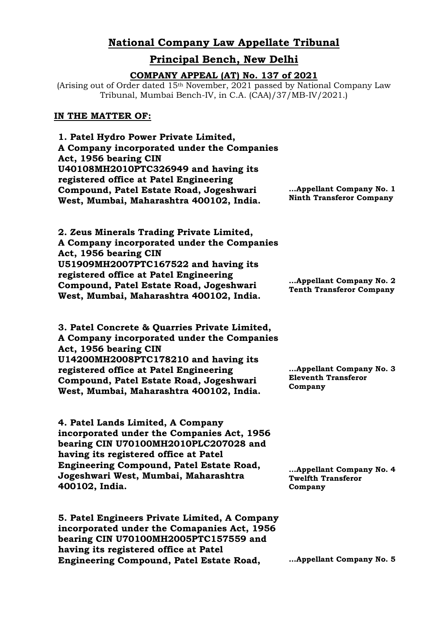# **National Company Law Appellate Tribunal**

# **Principal Bench, New Delhi**

#### **COMPANY APPEAL (AT) No. 137 of 2021**

(Arising out of Order dated 15th November, 2021 passed by National Company Law Tribunal, Mumbai Bench-IV, in C.A. (CAA)/37/MB-IV/2021.)

#### **IN THE MATTER OF:**

**1. Patel Hydro Power Private Limited, A Company incorporated under the Companies Act, 1956 bearing CIN U40108MH2010PTC326949 and having its registered office at Patel Engineering Compound, Patel Estate Road, Jogeshwari West, Mumbai, Maharashtra 400102, India.**

**…Appellant Company No. 1 Ninth Transferor Company**

**2. Zeus Minerals Trading Private Limited, A Company incorporated under the Companies Act, 1956 bearing CIN U51909MH2007PTC167522 and having its registered office at Patel Engineering Compound, Patel Estate Road, Jogeshwari West, Mumbai, Maharashtra 400102, India.**

**3. Patel Concrete & Quarries Private Limited, A Company incorporated under the Companies Act, 1956 bearing CIN U14200MH2008PTC178210 and having its registered office at Patel Engineering Compound, Patel Estate Road, Jogeshwari West, Mumbai, Maharashtra 400102, India.**

**4. Patel Lands Limited, A Company incorporated under the Companies Act, 1956 bearing CIN U70100MH2010PLC207028 and having its registered office at Patel Engineering Compound, Patel Estate Road, Jogeshwari West, Mumbai, Maharashtra 400102, India.**

**5. Patel Engineers Private Limited, A Company incorporated under the Comapanies Act, 1956 bearing CIN U70100MH2005PTC157559 and having its registered office at Patel Engineering Compound, Patel Estate Road,** 

**…Appellant Company No. 2 Tenth Transferor Company**

**…Appellant Company No. 3 Eleventh Transferor Company**

**…Appellant Company No. 4 Twelfth Transferor Company**

**…Appellant Company No. 5**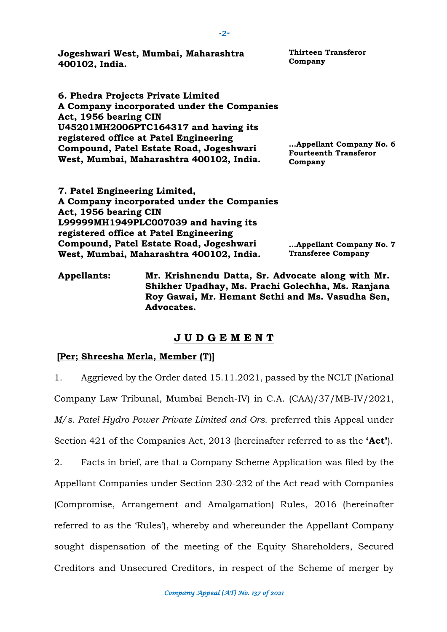| Jogeshwari West, Mumbai, Maharashtra<br>400102, India.                                                                                                                                                                                                                             | <b>Thirteen Transferor</b><br>Company                              |
|------------------------------------------------------------------------------------------------------------------------------------------------------------------------------------------------------------------------------------------------------------------------------------|--------------------------------------------------------------------|
| 6. Phedra Projects Private Limited<br>A Company incorporated under the Companies<br>Act, 1956 bearing CIN<br>U45201MH2006PTC164317 and having its<br>registered office at Patel Engineering<br>Compound, Patel Estate Road, Jogeshwari<br>West, Mumbai, Maharashtra 400102, India. | Appellant Company No. 6<br><b>Fourteenth Transferor</b><br>Company |
| 7. Patel Engineering Limited,<br>A Company incorporated under the Companies<br>Act, 1956 bearing CIN<br>L99999MH1949PLC007039 and having its<br>registered office at Patel Engineering<br>Compound, Patel Estate Road, Jogeshwari<br>West, Mumbai, Maharashtra 400102, India.      | Appellant Company No. 7<br><b>Transferee Company</b>               |
| Mr Krishnandu Datta Sr Advocata along with Mr<br>Annallante:                                                                                                                                                                                                                       |                                                                    |

**Appellants: Mr. Krishnendu Datta, Sr. Advocate along with Mr. Shikher Upadhay, Ms. Prachi Golechha, Ms. Ranjana Roy Gawai, Mr. Hemant Sethi and Ms. Vasudha Sen, Advocates.**

### **J U D G E M E N T**

### **[Per; Shreesha Merla, Member (T)]**

1. Aggrieved by the Order dated 15.11.2021, passed by the NCLT (National Company Law Tribunal, Mumbai Bench-IV) in C.A. (CAA)/37/MB-IV/2021, *M/s. Patel Hydro Power Private Limited and Ors.* preferred this Appeal under Section 421 of the Companies Act, 2013 (hereinafter referred to as the **'Act'**).

2. Facts in brief, are that a Company Scheme Application was filed by the Appellant Companies under Section 230-232 of the Act read with Companies (Compromise, Arrangement and Amalgamation) Rules, 2016 (hereinafter referred to as the 'Rules'), whereby and whereunder the Appellant Company sought dispensation of the meeting of the Equity Shareholders, Secured Creditors and Unsecured Creditors, in respect of the Scheme of merger by

*-2-*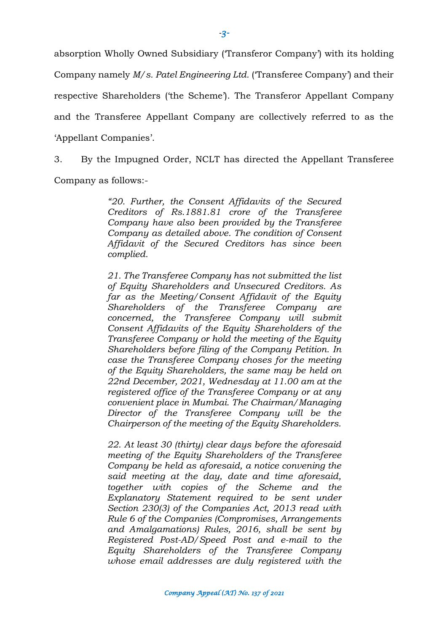absorption Wholly Owned Subsidiary ('Transferor Company') with its holding Company namely *M/s. Patel Engineering Ltd.* ('Transferee Company') and their respective Shareholders ('the Scheme'). The Transferor Appellant Company and the Transferee Appellant Company are collectively referred to as the 'Appellant Companies'.

3. By the Impugned Order, NCLT has directed the Appellant Transferee Company as follows:-

> *"20. Further, the Consent Affidavits of the Secured Creditors of Rs.1881.81 crore of the Transferee Company have also been provided by the Transferee Company as detailed above. The condition of Consent Affidavit of the Secured Creditors has since been complied.*

> *21. The Transferee Company has not submitted the list of Equity Shareholders and Unsecured Creditors. As far as the Meeting/Consent Affidavit of the Equity Shareholders of the Transferee Company are concerned, the Transferee Company will submit Consent Affidavits of the Equity Shareholders of the Transferee Company or hold the meeting of the Equity Shareholders before filing of the Company Petition. In case the Transferee Company choses for the meeting of the Equity Shareholders, the same may be held on 22nd December, 2021, Wednesday at 11.00 am at the registered office of the Transferee Company or at any convenient place in Mumbai. The Chairman/Managing Director of the Transferee Company will be the Chairperson of the meeting of the Equity Shareholders.*

> *22. At least 30 (thirty) clear days before the aforesaid meeting of the Equity Shareholders of the Transferee Company be held as aforesaid, a notice convening the said meeting at the day, date and time aforesaid, together with copies of the Scheme and the Explanatory Statement required to be sent under Section 230(3) of the Companies Act, 2013 read with Rule 6 of the Companies (Compromises, Arrangements and Amalgamations) Rules, 2016, shall be sent by Registered Post-AD/Speed Post and e-mail to the Equity Shareholders of the Transferee Company whose email addresses are duly registered with the*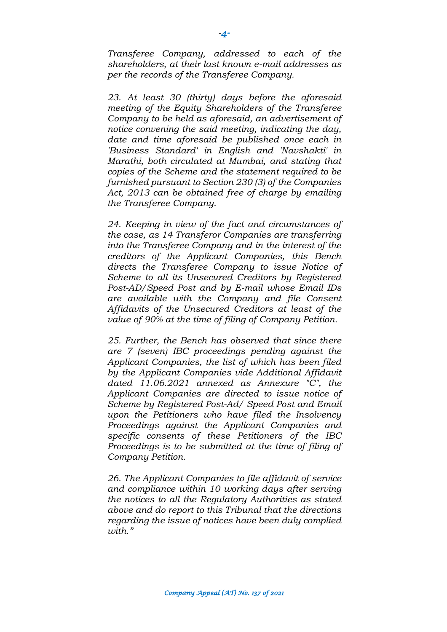*Transferee Company, addressed to each of the shareholders, at their last known e-mail addresses as per the records of the Transferee Company.*

*23. At least 30 (thirty) days before the aforesaid meeting of the Equity Shareholders of the Transferee Company to be held as aforesaid, an advertisement of notice convening the said meeting, indicating the day, date and time aforesaid be published once each in 'Business Standard' in English and 'Navshakti' in Marathi, both circulated at Mumbai, and stating that copies of the Scheme and the statement required to be furnished pursuant to Section 230 (3) of the Companies Act, 2013 can be obtained free of charge by emailing the Transferee Company.*

*24. Keeping in view of the fact and circumstances of the case, as 14 Transferor Companies are transferring into the Transferee Company and in the interest of the creditors of the Applicant Companies, this Bench directs the Transferee Company to issue Notice of Scheme to all its Unsecured Creditors by Registered Post-AD/Speed Post and by E-mail whose Email IDs are available with the Company and file Consent Affidavits of the Unsecured Creditors at least of the value of 90% at the time of filing of Company Petition.*

*25. Further, the Bench has observed that since there are 7 (seven) IBC proceedings pending against the Applicant Companies, the list of which has been filed by the Applicant Companies vide Additional Affidavit dated 11.06.2021 annexed as Annexure "C", the Applicant Companies are directed to issue notice of Scheme by Registered Post-Ad/ Speed Post and Email upon the Petitioners who have filed the Insolvency Proceedings against the Applicant Companies and specific consents of these Petitioners of the IBC Proceedings is to be submitted at the time of filing of Company Petition.*

*26. The Applicant Companies to file affidavit of service and compliance within 10 working days after serving the notices to all the Regulatory Authorities as stated above and do report to this Tribunal that the directions regarding the issue of notices have been duly complied with."*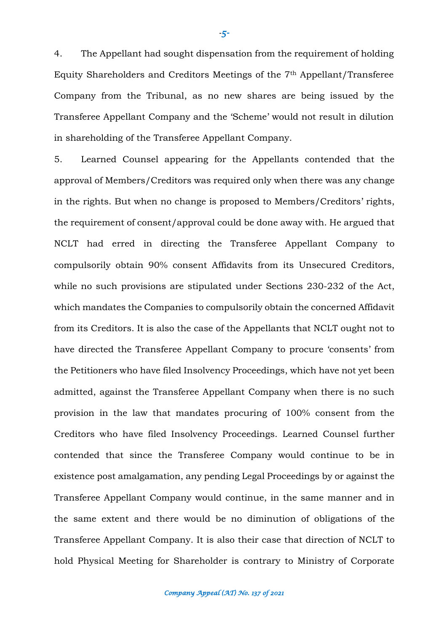4. The Appellant had sought dispensation from the requirement of holding Equity Shareholders and Creditors Meetings of the 7th Appellant/Transferee Company from the Tribunal, as no new shares are being issued by the Transferee Appellant Company and the 'Scheme' would not result in dilution in shareholding of the Transferee Appellant Company.

5. Learned Counsel appearing for the Appellants contended that the approval of Members/Creditors was required only when there was any change in the rights. But when no change is proposed to Members/Creditors' rights, the requirement of consent/approval could be done away with. He argued that NCLT had erred in directing the Transferee Appellant Company to compulsorily obtain 90% consent Affidavits from its Unsecured Creditors, while no such provisions are stipulated under Sections 230-232 of the Act, which mandates the Companies to compulsorily obtain the concerned Affidavit from its Creditors. It is also the case of the Appellants that NCLT ought not to have directed the Transferee Appellant Company to procure 'consents' from the Petitioners who have filed Insolvency Proceedings, which have not yet been admitted, against the Transferee Appellant Company when there is no such provision in the law that mandates procuring of 100% consent from the Creditors who have filed Insolvency Proceedings. Learned Counsel further contended that since the Transferee Company would continue to be in existence post amalgamation, any pending Legal Proceedings by or against the Transferee Appellant Company would continue, in the same manner and in the same extent and there would be no diminution of obligations of the Transferee Appellant Company. It is also their case that direction of NCLT to hold Physical Meeting for Shareholder is contrary to Ministry of Corporate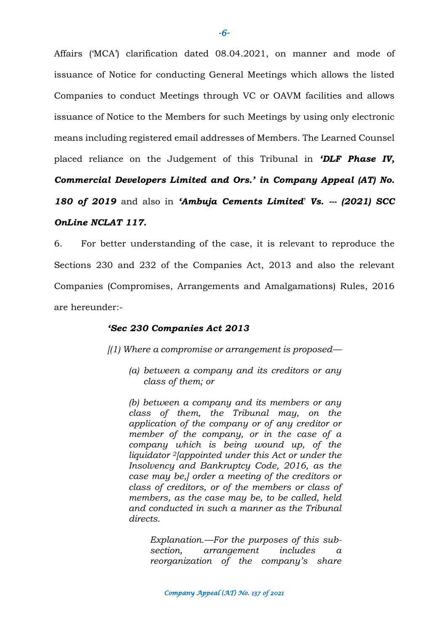Affairs ('MCA') clarification dated 08.04.2021, on manner and mode of issuance of Notice for conducting General Meetings which allows the listed Companies to conduct Meetings through VC or OAVM facilities and allows issuance of Notice to the Members for such Meetings by using only electronic means including registered email addresses of Members. The Learned Counsel placed reliance on the Judgement of this Tribunal in *'DLF Phase IV,* 

*Commercial Developers Limited and Ors.' in Company Appeal (AT) No.* 

*180 of 2019* and also in *'Ambuja Cements Limited*' *Vs. --- (2021) SCC* 

### *OnLine NCLAT 117.*

6. For better understanding of the case, it is relevant to reproduce the Sections 230 and 232 of the Companies Act, 2013 and also the relevant Companies (Compromises, Arrangements and Amalgamations) Rules, 2016 are hereunder:-

## *'Sec 230 Companies Act 2013*

*[(1) Where a compromise or arrangement is proposed—*

*(a) between a company and its creditors or any class of them; or*

*(b) between a company and its members or any class of them, the Tribunal may, on the application of the company or of any creditor or member of the company, or in the case of a company which is being wound up, of the liquidator 2[appointed under this Act or under the Insolvency and Bankruptcy Code, 2016, as the case may be,] order a meeting of the creditors or class of creditors, or of the members or class of members, as the case may be, to be called, held and conducted in such a manner as the Tribunal directs.*

*Explanation.—For the purposes of this subsection, arrangement includes a reorganization of the company's share*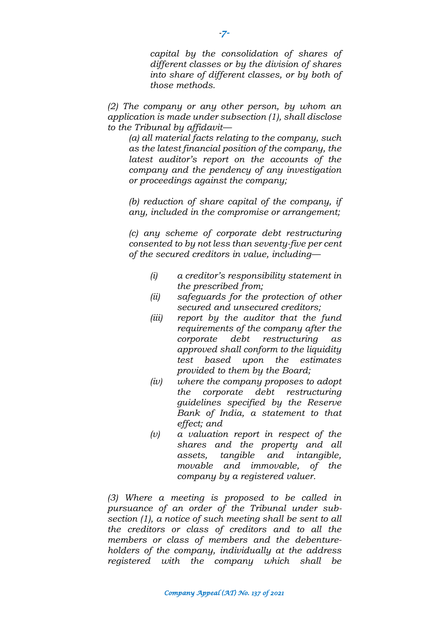*capital by the consolidation of shares of different classes or by the division of shares into share of different classes, or by both of those methods.*

*(2) The company or any other person, by whom an application is made under subsection (1), shall disclose to the Tribunal by affidavit—*

*(a) all material facts relating to the company, such as the latest financial position of the company, the latest auditor's report on the accounts of the company and the pendency of any investigation or proceedings against the company;*

*(b) reduction of share capital of the company, if any, included in the compromise or arrangement;*

*(c) any scheme of corporate debt restructuring consented to by not less than seventy-five per cent of the secured creditors in value, including—*

- *(i) a creditor's responsibility statement in the prescribed from;*
- *(ii) safeguards for the protection of other secured and unsecured creditors;*
- *(iii) report by the auditor that the fund requirements of the company after the corporate debt restructuring as approved shall conform to the liquidity test based upon the estimates provided to them by the Board;*
- *(iv) where the company proposes to adopt the corporate debt restructuring guidelines specified by the Reserve Bank of India, a statement to that effect; and*
- *(v) a valuation report in respect of the shares and the property and all assets, tangible and intangible, movable and immovable, of the company by a registered valuer.*

*(3) Where a meeting is proposed to be called in pursuance of an order of the Tribunal under subsection (1), a notice of such meeting shall be sent to all the creditors or class of creditors and to all the members or class of members and the debentureholders of the company, individually at the address registered with the company which shall be*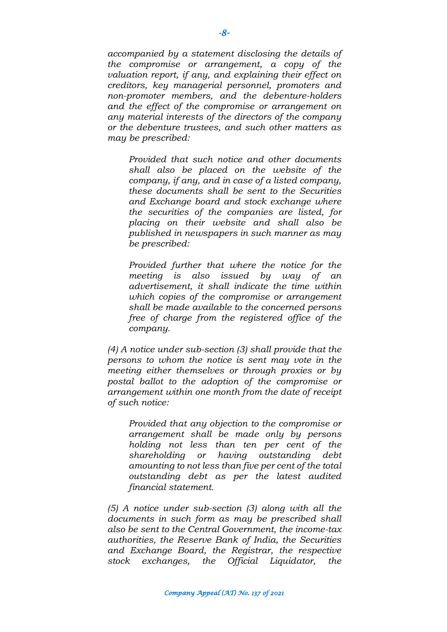*accompanied by a statement disclosing the details of the compromise or arrangement, a copy of the valuation report, if any, and explaining their effect on creditors, key managerial personnel, promoters and non-promoter members, and the debenture-holders and the effect of the compromise or arrangement on any material interests of the directors of the company or the debenture trustees, and such other matters as may be prescribed:*

*Provided that such notice and other documents shall also be placed on the website of the company, if any, and in case of a listed company, these documents shall be sent to the Securities and Exchange board and stock exchange where the securities of the companies are listed, for placing on their website and shall also be published in newspapers in such manner as may be prescribed:*

*Provided further that where the notice for the meeting is also issued by way of an advertisement, it shall indicate the time within which copies of the compromise or arrangement shall be made available to the concerned persons free of charge from the registered office of the company.* 

*(4) A notice under sub-section (3) shall provide that the persons to whom the notice is sent may vote in the meeting either themselves or through proxies or by postal ballot to the adoption of the compromise or arrangement within one month from the date of receipt of such notice:*

*Provided that any objection to the compromise or arrangement shall be made only by persons holding not less than ten per cent of the shareholding or having outstanding debt amounting to not less than five per cent of the total outstanding debt as per the latest audited financial statement.*

*(5) A notice under sub-section (3) along with all the documents in such form as may be prescribed shall also be sent to the Central Government, the income-tax authorities, the Reserve Bank of India, the Securities and Exchange Board, the Registrar, the respective stock exchanges, the Official Liquidator, the*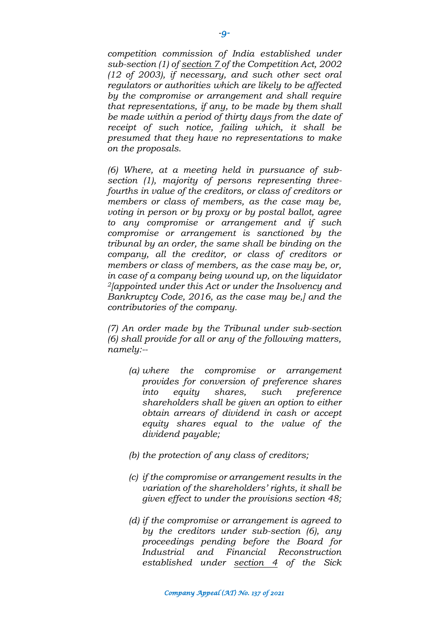*competition commission of India established under sub-section (1) of section 7 of the Competition Act, 2002 (12 of 2003), if necessary, and such other sect oral regulators or authorities which are likely to be affected by the compromise or arrangement and shall require that representations, if any, to be made by them shall be made within a period of thirty days from the date of receipt of such notice, failing which, it shall be presumed that they have no representations to make on the proposals.*

*(6) Where, at a meeting held in pursuance of subsection (1), majority of persons representing threefourths in value of the creditors, or class of creditors or members or class of members, as the case may be, voting in person or by proxy or by postal ballot, agree to any compromise or arrangement and if such compromise or arrangement is sanctioned by the tribunal by an order, the same shall be binding on the company, all the creditor, or class of creditors or members or class of members, as the case may be, or, in case of a company being wound up, on the liquidator <sup>2</sup>[appointed under this Act or under the Insolvency and Bankruptcy Code, 2016, as the case may be,] and the contributories of the company.*

*(7) An order made by the Tribunal under sub-section (6) shall provide for all or any of the following matters, namely:--*

- *(a) where the compromise or arrangement provides for conversion of preference shares into equity shares, such preference shareholders shall be given an option to either obtain arrears of dividend in cash or accept equity shares equal to the value of the dividend payable;*
- *(b) the protection of any class of creditors;*
- *(c) if the compromise or arrangement results in the variation of the shareholders' rights, it shall be given effect to under the provisions section 48;*
- *(d) if the compromise or arrangement is agreed to by the creditors under sub-section (6), any proceedings pending before the Board for Industrial and Financial Reconstruction established under section 4 of the Sick*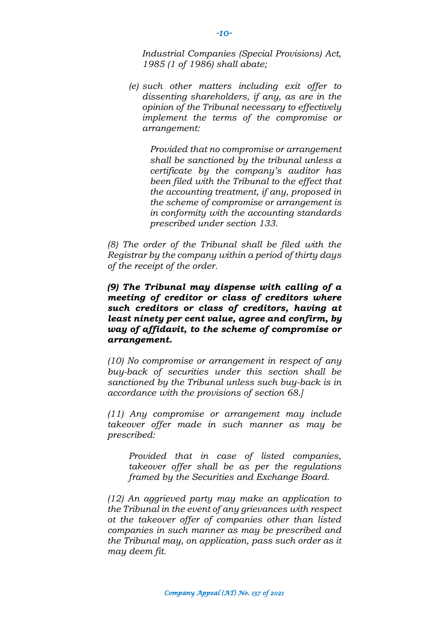*Industrial Companies (Special Provisions) Act, 1985 (1 of 1986) shall abate;*

*(e) such other matters including exit offer to dissenting shareholders, if any, as are in the opinion of the Tribunal necessary to effectively implement the terms of the compromise or arrangement:*

*Provided that no compromise or arrangement shall be sanctioned by the tribunal unless a certificate by the company's auditor has been filed with the Tribunal to the effect that the accounting treatment, if any, proposed in the scheme of compromise or arrangement is in conformity with the accounting standards prescribed under section 133.* 

*(8) The order of the Tribunal shall be filed with the Registrar by the company within a period of thirty days of the receipt of the order.* 

*(9) The Tribunal may dispense with calling of a meeting of creditor or class of creditors where such creditors or class of creditors, having at least ninety per cent value, agree and confirm, by way of affidavit, to the scheme of compromise or arrangement.*

*(10) No compromise or arrangement in respect of any buy-back of securities under this section shall be sanctioned by the Tribunal unless such buy-back is in accordance with the provisions of section 68.]*

*(11) Any compromise or arrangement may include takeover offer made in such manner as may be prescribed:*

*Provided that in case of listed companies, takeover offer shall be as per the regulations framed by the Securities and Exchange Board.*

*(12) An aggrieved party may make an application to the Tribunal in the event of any grievances with respect ot the takeover offer of companies other than listed companies in such manner as may be prescribed and the Tribunal may, on application, pass such order as it may deem fit.*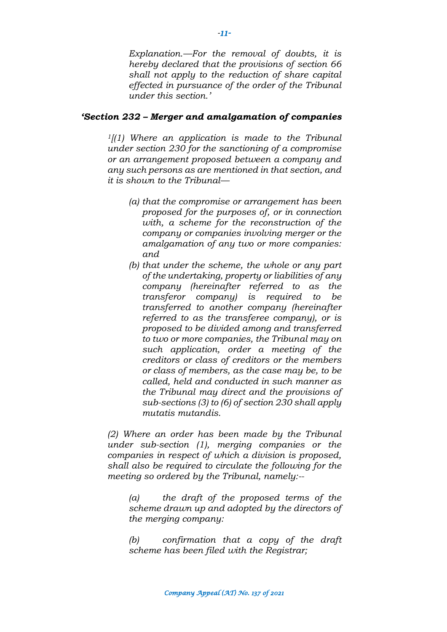*Explanation.—For the removal of doubts, it is hereby declared that the provisions of section 66 shall not apply to the reduction of share capital effected in pursuance of the order of the Tribunal under this section.'*

### *'Section 232 – Merger and amalgamation of companies*

*<sup>1</sup>[(1) Where an application is made to the Tribunal under section 230 for the sanctioning of a compromise or an arrangement proposed between a company and any such persons as are mentioned in that section, and it is shown to the Tribunal—*

- *(a) that the compromise or arrangement has been proposed for the purposes of, or in connection with, a scheme for the reconstruction of the company or companies involving merger or the amalgamation of any two or more companies: and*
- *(b) that under the scheme, the whole or any part of the undertaking, property or liabilities of any company (hereinafter referred to as the transferor company) is required to be transferred to another company (hereinafter referred to as the transferee company), or is proposed to be divided among and transferred to two or more companies, the Tribunal may on such application, order a meeting of the creditors or class of creditors or the members or class of members, as the case may be, to be called, held and conducted in such manner as the Tribunal may direct and the provisions of sub-sections (3) to (6) of section 230 shall apply mutatis mutandis.*

*(2) Where an order has been made by the Tribunal under sub-section (1), merging companies or the companies in respect of which a division is proposed, shall also be required to circulate the following for the meeting so ordered by the Tribunal, namely:--*

*(a) the draft of the proposed terms of the scheme drawn up and adopted by the directors of the merging company:*

*(b) confirmation that a copy of the draft scheme has been filed with the Registrar;*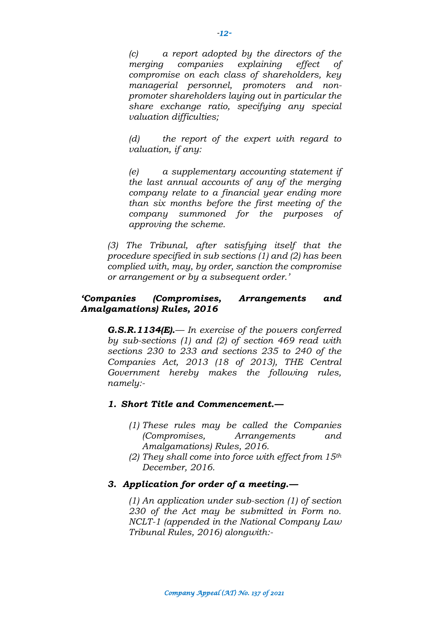*(c) a report adopted by the directors of the merging companies explaining effect of compromise on each class of shareholders, key managerial personnel, promoters and nonpromoter shareholders laying out in particular the share exchange ratio, specifying any special valuation difficulties;*

*(d) the report of the expert with regard to valuation, if any:*

*(e) a supplementary accounting statement if the last annual accounts of any of the merging company relate to a financial year ending more than six months before the first meeting of the company summoned for the purposes of approving the scheme.*

*(3) The Tribunal, after satisfying itself that the procedure specified in sub sections (1) and (2) has been complied with, may, by order, sanction the compromise or arrangement or by a subsequent order.'*

## *'Companies (Compromises, Arrangements and Amalgamations) Rules, 2016*

*G.S.R.1134(E).— In exercise of the powers conferred by sub-sections (1) and (2) of section 469 read with sections 230 to 233 and sections 235 to 240 of the Companies Act, 2013 (18 of 2013), THE Central Government hereby makes the following rules, namely:-*

### *1. Short Title and Commencement.—*

- *(1) These rules may be called the Companies (Compromises, Arrangements and Amalgamations) Rules, 2016.*
- *(2) They shall come into force with effect from 15th December, 2016.*

## *3. Application for order of a meeting.—*

*(1) An application under sub-section (1) of section 230 of the Act may be submitted in Form no. NCLT-1 (appended in the National Company Law Tribunal Rules, 2016) alongwith:-*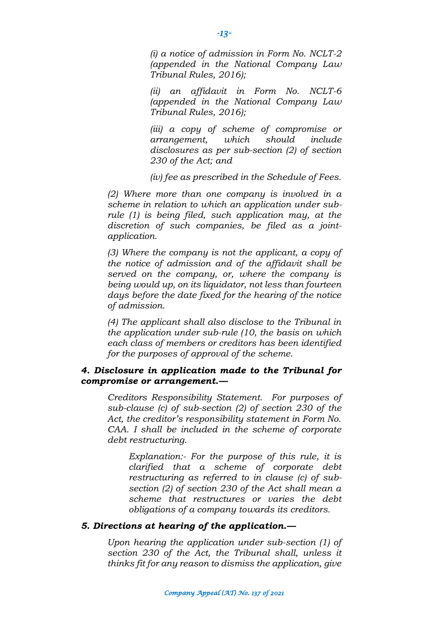*(i) a notice of admission in Form No. NCLT-2 (appended in the National Company Law Tribunal Rules, 2016);*

*(ii) an affidavit in Form No. NCLT-6 (appended in the National Company Law Tribunal Rules, 2016);*

*(iii) a copy of scheme of compromise or arrangement, which should include disclosures as per sub-section (2) of section 230 of the Act; and*

*(iv) fee as prescribed in the Schedule of Fees.*

*(2) Where more than one company is involved in a scheme in relation to which an application under subrule (1) is being filed, such application may, at the discretion of such companies, be filed as a jointapplication.*

*(3) Where the company is not the applicant, a copy of the notice of admission and of the affidavit shall be served on the company, or, where the company is being would up, on its liquidator, not less than fourteen days before the date fixed for the hearing of the notice of admission.*

*(4) The applicant shall also disclose to the Tribunal in the application under sub-rule (10, the basis on which each class of members or creditors has been identified for the purposes of approval of the scheme.*

### *4. Disclosure in application made to the Tribunal for compromise or arrangement.—*

*Creditors Responsibility Statement. For purposes of sub-clause (c) of sub-section (2) of section 230 of the Act, the creditor's responsibility statement in Form No. CAA. I shall be included in the scheme of corporate debt restructuring.* 

*Explanation:- For the purpose of this rule, it is clarified that a scheme of corporate debt restructuring as referred to in clause (c) of subsection (2) of section 230 of the Act shall mean a scheme that restructures or varies the debt obligations of a company towards its creditors.*

#### *5. Directions at hearing of the application.—*

*Upon hearing the application under sub-section (1) of section 230 of the Act, the Tribunal shall, unless it thinks fit for any reason to dismiss the application, give*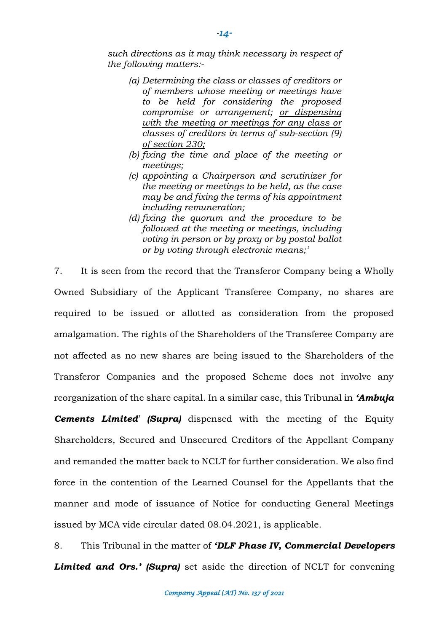*such directions as it may think necessary in respect of the following matters:-*

- *(a) Determining the class or classes of creditors or of members whose meeting or meetings have to be held for considering the proposed compromise or arrangement; or dispensing with the meeting or meetings for any class or classes of creditors in terms of sub-section (9) of section 230;*
- *(b) fixing the time and place of the meeting or meetings;*
- *(c) appointing a Chairperson and scrutinizer for the meeting or meetings to be held, as the case may be and fixing the terms of his appointment including remuneration;*
- *(d) fixing the quorum and the procedure to be followed at the meeting or meetings, including voting in person or by proxy or by postal ballot or by voting through electronic means;'*

7. It is seen from the record that the Transferor Company being a Wholly Owned Subsidiary of the Applicant Transferee Company, no shares are required to be issued or allotted as consideration from the proposed amalgamation. The rights of the Shareholders of the Transferee Company are not affected as no new shares are being issued to the Shareholders of the Transferor Companies and the proposed Scheme does not involve any reorganization of the share capital. In a similar case, this Tribunal in *'Ambuja* 

*Cements Limited*' *(Supra)* dispensed with the meeting of the Equity Shareholders, Secured and Unsecured Creditors of the Appellant Company and remanded the matter back to NCLT for further consideration. We also find force in the contention of the Learned Counsel for the Appellants that the manner and mode of issuance of Notice for conducting General Meetings issued by MCA vide circular dated 08.04.2021, is applicable.

8. This Tribunal in the matter of *'DLF Phase IV, Commercial Developers*  **Limited and Ors.' (Supra)** set aside the direction of NCLT for convening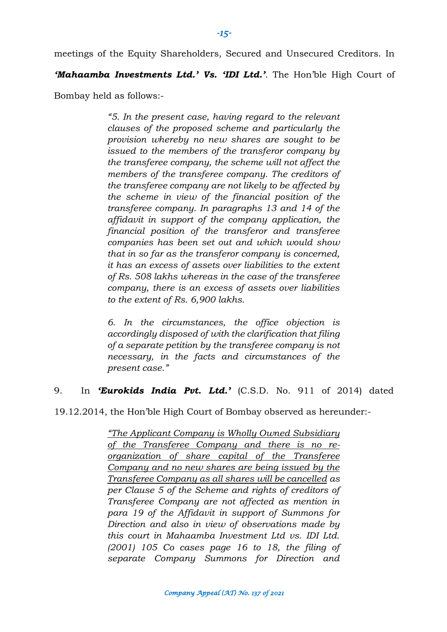meetings of the Equity Shareholders, Secured and Unsecured Creditors. In

*'Mahaamba Investments Ltd.' Vs. 'IDI Ltd.'*. The Hon'ble High Court of

Bombay held as follows:-

*"5. In the present case, having regard to the relevant clauses of the proposed scheme and particularly the provision whereby no new shares are sought to be issued to the members of the transferor company by the transferee company, the scheme will not affect the members of the transferee company. The creditors of the transferee company are not likely to be affected by the scheme in view of the financial position of the transferee company. In paragraphs 13 and 14 of the affidavit in support of the company application, the financial position of the transferor and transferee companies has been set out and which would show that in so far as the transferor company is concerned, it has an excess of assets over liabilities to the extent of Rs. 508 lakhs whereas in the case of the transferee company, there is an excess of assets over liabilities to the extent of Rs. 6,900 lakhs.*

*6. In the circumstances, the office objection is accordingly disposed of with the clarification that filing of a separate petition by the transferee company is not necessary, in the facts and circumstances of the present case."*

## 9. In *'Eurokids India Pvt. Ltd.'* (C.S.D. No. 911 of 2014) dated

19.12.2014, the Hon'ble High Court of Bombay observed as hereunder:-

*"The Applicant Company is Wholly Owned Subsidiary of the Transferee Company and there is no reorganization of share capital of the Transferee Company and no new shares are being issued by the Transferee Company as all shares will be cancelled as per Clause 5 of the Scheme and rights of creditors of Transferee Company are not affected as mention in para 19 of the Affidavit in support of Summons for Direction and also in view of observations made by this court in Mahaamba Investment Ltd vs. IDI Ltd. (2001) 105 Co cases page 16 to 18, the filing of separate Company Summons for Direction and*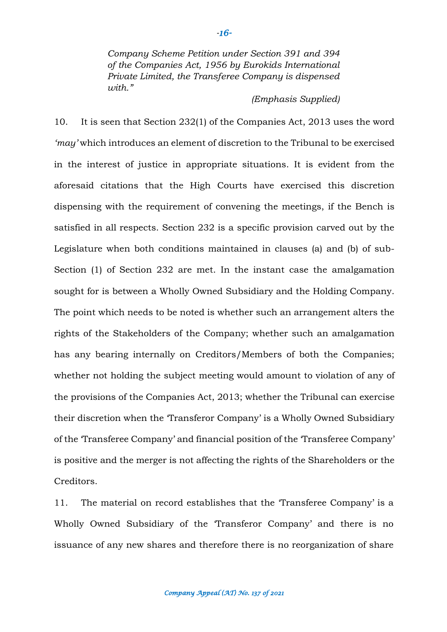*Company Scheme Petition under Section 391 and 394 of the Companies Act, 1956 by Eurokids International Private Limited, the Transferee Company is dispensed with."*

#### *(Emphasis Supplied)*

10. It is seen that Section 232(1) of the Companies Act, 2013 uses the word *'may'* which introduces an element of discretion to the Tribunal to be exercised in the interest of justice in appropriate situations. It is evident from the aforesaid citations that the High Courts have exercised this discretion dispensing with the requirement of convening the meetings, if the Bench is satisfied in all respects. Section 232 is a specific provision carved out by the Legislature when both conditions maintained in clauses (a) and (b) of sub-Section (1) of Section 232 are met. In the instant case the amalgamation sought for is between a Wholly Owned Subsidiary and the Holding Company. The point which needs to be noted is whether such an arrangement alters the rights of the Stakeholders of the Company; whether such an amalgamation has any bearing internally on Creditors/Members of both the Companies; whether not holding the subject meeting would amount to violation of any of the provisions of the Companies Act, 2013; whether the Tribunal can exercise their discretion when the 'Transferor Company' is a Wholly Owned Subsidiary of the 'Transferee Company' and financial position of the 'Transferee Company' is positive and the merger is not affecting the rights of the Shareholders or the Creditors.

11. The material on record establishes that the 'Transferee Company' is a Wholly Owned Subsidiary of the 'Transferor Company' and there is no issuance of any new shares and therefore there is no reorganization of share

#### *Company Appeal (AT) No. 137 of 2021*

*-16-*